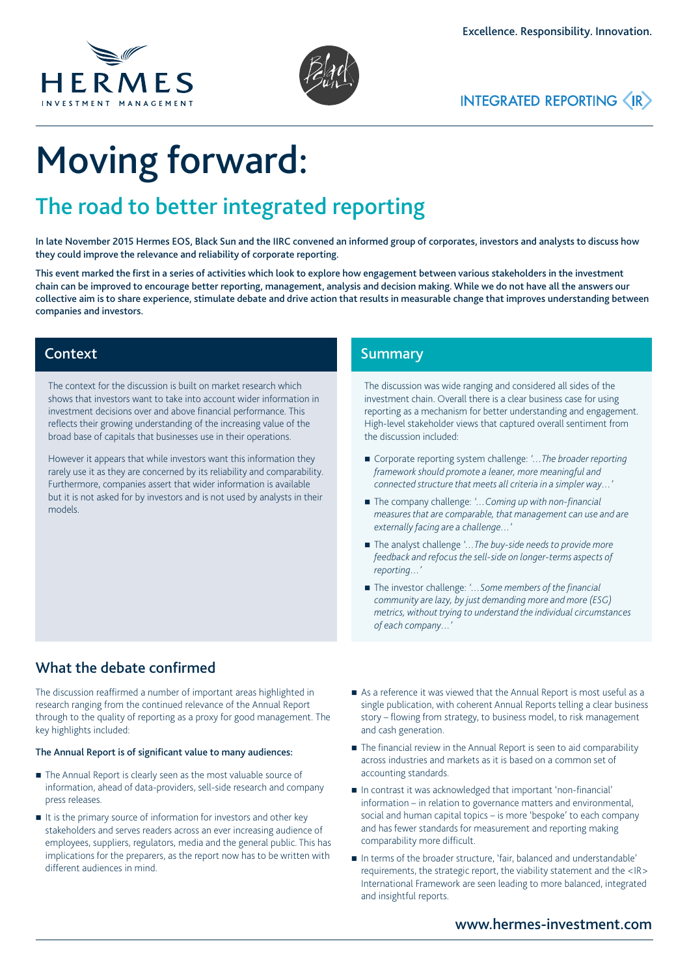





# Moving forward:

## The road to better integrated reporting

In late November 2015 Hermes EOS, Black Sun and the IIRC convened an informed group of corporates, investors and analysts to discuss how they could improve the relevance and reliability of corporate reporting.

This event marked the first in a series of activities which look to explore how engagement between various stakeholders in the investment chain can be improved to encourage better reporting, management, analysis and decision making. While we do not have all the answers our collective aim is to share experience, stimulate debate and drive action that results in measurable change that improves understanding between companies and investors.

## Context

The context for the discussion is built on market research which shows that investors want to take into account wider information in investment decisions over and above financial performance. This reflects their growing understanding of the increasing value of the broad base of capitals that businesses use in their operations.

However it appears that while investors want this information they rarely use it as they are concerned by its reliability and comparability. Furthermore, companies assert that wider information is available but it is not asked for by investors and is not used by analysts in their models.

## **Summary**

The discussion was wide ranging and considered all sides of the investment chain. Overall there is a clear business case for using reporting as a mechanism for better understanding and engagement. High-level stakeholder views that captured overall sentiment from the discussion included:

- Corporate reporting system challenge: '...The broader reporting *framework should promote a leaner, more meaningful and connected structure that meets all criteria in a simpler way…'*
- The company challenge: '... Coming up with non-financial *measures that are comparable, that management can use and are externally facing are a challenge…'*
- The analyst challenge '... The buy-side needs to provide more *feedback and refocus the sell-side on longer-terms aspects of reporting…'*
- The investor challenge: '... Some members of the financial *community are lazy, by just demanding more and more (ESG) metrics, without trying to understand the individual circumstances of each company…'*

## What the debate confirmed

The discussion reaffirmed a number of important areas highlighted in research ranging from the continued relevance of the Annual Report through to the quality of reporting as a proxy for good management. The key highlights included:

#### The Annual Report is of significant value to many audiences:

- The Annual Report is clearly seen as the most valuable source of information, ahead of data-providers, sell-side research and company press releases.
- It is the primary source of information for investors and other key stakeholders and serves readers across an ever increasing audience of employees, suppliers, regulators, media and the general public. This has implications for the preparers, as the report now has to be written with different audiences in mind.
- As a reference it was viewed that the Annual Report is most useful as a single publication, with coherent Annual Reports telling a clear business story – flowing from strategy, to business model, to risk management and cash generation.
- The financial review in the Annual Report is seen to aid comparability across industries and markets as it is based on a common set of accounting standards.
- In contrast it was acknowledged that important 'non-financial' information – in relation to governance matters and environmental, social and human capital topics – is more 'bespoke' to each company and has fewer standards for measurement and reporting making comparability more difficult.
- In terms of the broader structure, 'fair, balanced and understandable' requirements, the strategic report, the viability statement and the <IR> International Framework are seen leading to more balanced, integrated and insightful reports.

## www.hermes-investment.com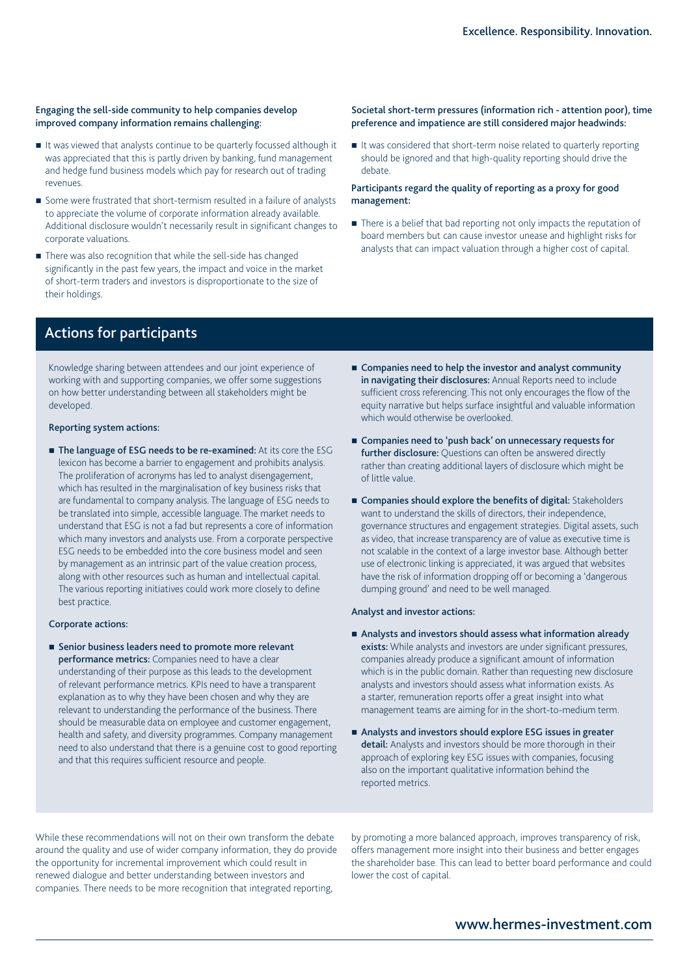#### Engaging the sell-side community to help companies develop improved company information remains challenging:

- It was viewed that analysts continue to be quarterly focussed although it was appreciated that this is partly driven by banking, fund management and hedge fund business models which pay for research out of trading revenues.
- Some were frustrated that short-termism resulted in a failure of analysts to appreciate the volume of corporate information already available. Additional disclosure wouldn't necessarily result in significant changes to corporate valuations.
- There was also recognition that while the sell-side has changed significantly in the past few years, the impact and voice in the market of short-term traders and investors is disproportionate to the size of their holdings.

#### Societal short-term pressures (information rich - attention poor), time preference and impatience are still considered major headwinds:

It was considered that short-term noise related to quarterly reporting should be ignored and that high-quality reporting should drive the debate.

#### Participants regard the quality of reporting as a proxy for good management:

There is a belief that bad reporting not only impacts the reputation of board members but can cause investor unease and highlight risks for analysts that can impact valuation through a higher cost of capital.

## Actions for participants

Knowledge sharing between attendees and our joint experience of working with and supporting companies, we offer some suggestions on how better understanding between all stakeholders might be developed.

#### Reporting system actions:

The language of ESG needs to be re-examined: At its core the ESG lexicon has become a barrier to engagement and prohibits analysis. The proliferation of acronyms has led to analyst disengagement, which has resulted in the marginalisation of key business risks that are fundamental to company analysis. The language of ESG needs to be translated into simple, accessible language. The market needs to understand that ESG is not a fad but represents a core of information which many investors and analysts use. From a corporate perspective ESG needs to be embedded into the core business model and seen by management as an intrinsic part of the value creation process, along with other resources such as human and intellectual capital. The various reporting initiatives could work more closely to define best practice.

#### Corporate actions:

■ Senior business leaders need to promote more relevant performance metrics: Companies need to have a clear understanding of their purpose as this leads to the development of relevant performance metrics. KPIs need to have a transparent explanation as to why they have been chosen and why they are relevant to understanding the performance of the business. There should be measurable data on employee and customer engagement, health and safety, and diversity programmes. Company management need to also understand that there is a genuine cost to good reporting and that this requires sufficient resource and people.

- Companies need to help the investor and analyst community in navigating their disclosures: Annual Reports need to include sufficient cross referencing. This not only encourages the flow of the equity narrative but helps surface insightful and valuable information which would otherwise be overlooked.
- Companies need to 'push back' on unnecessary requests for further disclosure: Questions can often be answered directly rather than creating additional layers of disclosure which might be of little value.
- Companies should explore the benefits of digital: Stakeholders want to understand the skills of directors, their independence, governance structures and engagement strategies. Digital assets, such as video, that increase transparency are of value as executive time is not scalable in the context of a large investor base. Although better use of electronic linking is appreciated, it was argued that websites have the risk of information dropping off or becoming a 'dangerous dumping ground' and need to be well managed.

#### Analyst and investor actions:

- Analysts and investors should assess what information already exists: While analysts and investors are under significant pressures, companies already produce a significant amount of information which is in the public domain. Rather than requesting new disclosure analysts and investors should assess what information exists. As a starter, remuneration reports offer a great insight into what management teams are aiming for in the short-to-medium term.
- Analysts and investors should explore ESG issues in greater detail: Analysts and investors should be more thorough in their approach of exploring key ESG issues with companies, focusing also on the important qualitative information behind the reported metrics.

While these recommendations will not on their own transform the debate around the quality and use of wider company information, they do provide the opportunity for incremental improvement which could result in renewed dialogue and better understanding between investors and companies. There needs to be more recognition that integrated reporting,

by promoting a more balanced approach, improves transparency of risk, offers management more insight into their business and better engages the shareholder base. This can lead to better board performance and could lower the cost of capital.